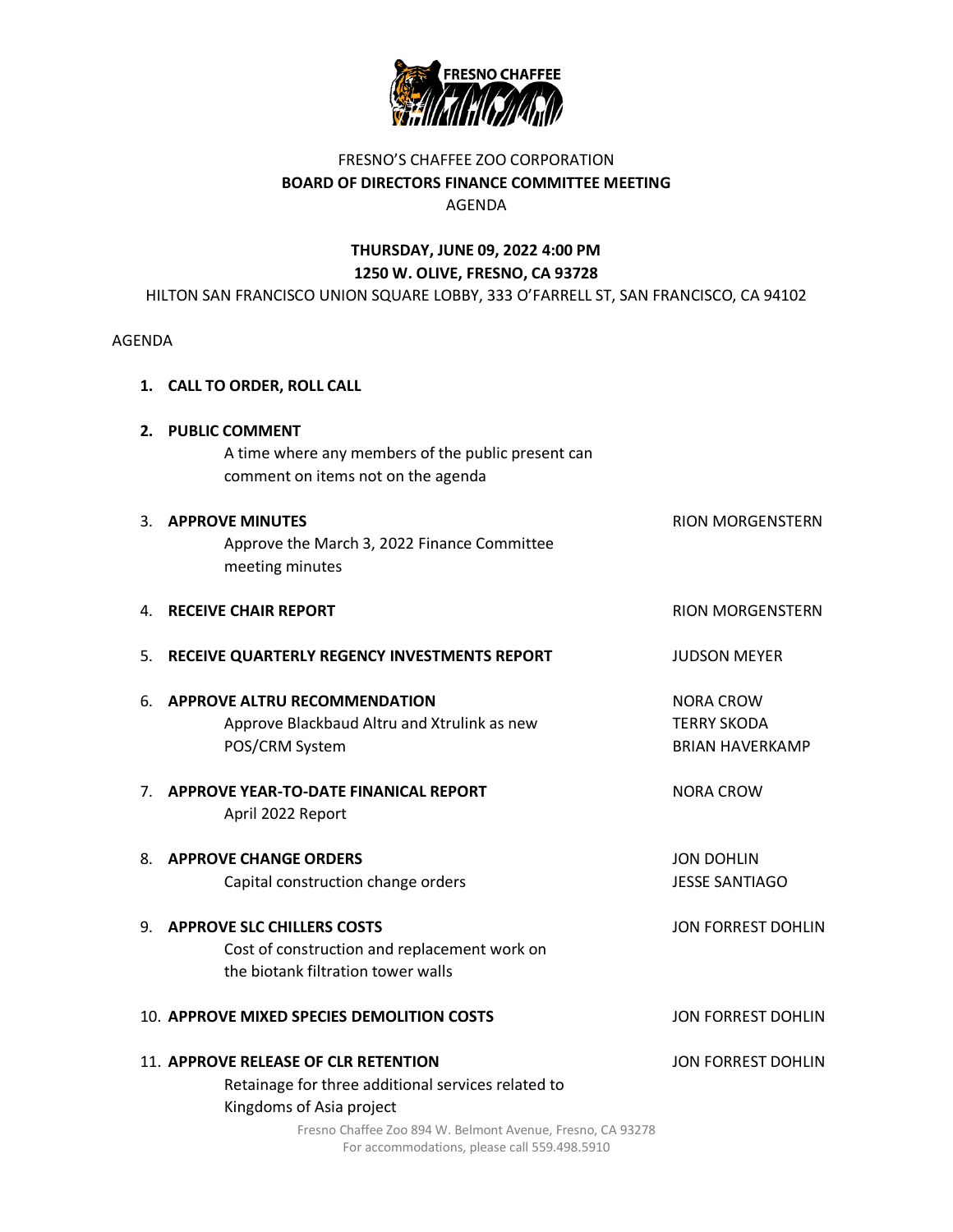

## FRESNO'S CHAFFEE ZOO CORPORATION **BOARD OF DIRECTORS FINANCE COMMITTEE MEETING** AGENDA

# **THURSDAY, JUNE 09, 2022 4:00 PM 1250 W. OLIVE, FRESNO, CA 93728**

HILTON SAN FRANCISCO UNION SQUARE LOBBY, 333 O'FARRELL ST, SAN FRANCISCO, CA 94102

#### AGENDA

- **1. CALL TO ORDER, ROLL CALL**
- **2. PUBLIC COMMENT** A time where any members of the public present can comment on items not on the agenda

| 3 <sub>1</sub> | <b>APPROVE MINUTES</b><br>Approve the March 3, 2022 Finance Committee<br>meeting minutes                                | <b>RION MORGENSTERN</b>                                          |
|----------------|-------------------------------------------------------------------------------------------------------------------------|------------------------------------------------------------------|
| 4.             | <b>RECEIVE CHAIR REPORT</b>                                                                                             | <b>RION MORGENSTERN</b>                                          |
| 5.             | RECEIVE QUARTERLY REGENCY INVESTMENTS REPORT                                                                            | <b>JUDSON MEYER</b>                                              |
| 6.             | <b>APPROVE ALTRU RECOMMENDATION</b><br>Approve Blackbaud Altru and Xtrulink as new<br>POS/CRM System                    | <b>NORA CROW</b><br><b>TERRY SKODA</b><br><b>BRIAN HAVERKAMP</b> |
| 7 <sub>1</sub> | <b>APPROVE YEAR-TO-DATE FINANICAL REPORT</b><br>April 2022 Report                                                       | <b>NORA CROW</b>                                                 |
| 8.             | <b>APPROVE CHANGE ORDERS</b><br>Capital construction change orders                                                      | <b>JON DOHLIN</b><br><b>JESSE SANTIAGO</b>                       |
| ۹.             | <b>APPROVE SLC CHILLERS COSTS</b><br>Cost of construction and replacement work on<br>the biotank filtration tower walls | <b>JON FORREST DOHLIN</b>                                        |
|                | 10. APPROVE MIXED SPECIES DEMOLITION COSTS                                                                              | JON FORREST DOHLIN                                               |
|                | 11. APPROVE RELEASE OF CLR RETENTION<br>Retainage for three additional services related to<br>Kingdoms of Asia project  | <b>JON FORREST DOHLIN</b>                                        |

Fresno Chaffee Zoo 894 W. Belmont Avenue, Fresno, CA 93278 For accommodations, please call 559.498.5910